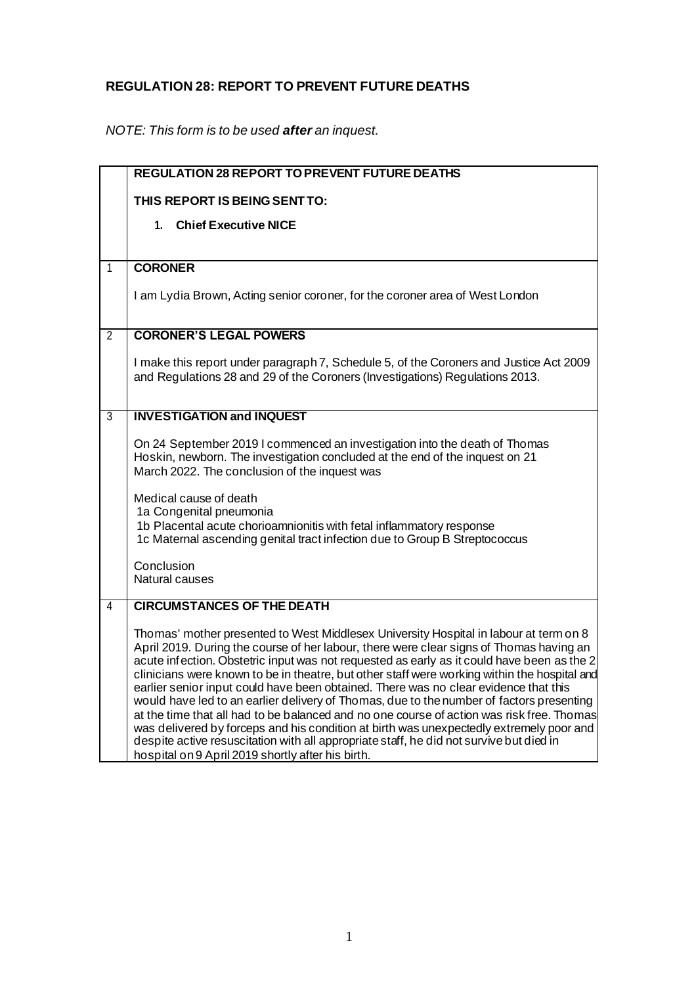## **REGULATION 28: REPORT TO PREVENT FUTURE DEATHS**

*NOTE: This form is to be used after an inquest.*

|                | <b>REGULATION 28 REPORT TO PREVENT FUTURE DEATHS</b>                                                                                                                                                                                                                                                                                                                                                                                                                                                                                                                                                                                                                                                                                                                                                                                                                                                       |
|----------------|------------------------------------------------------------------------------------------------------------------------------------------------------------------------------------------------------------------------------------------------------------------------------------------------------------------------------------------------------------------------------------------------------------------------------------------------------------------------------------------------------------------------------------------------------------------------------------------------------------------------------------------------------------------------------------------------------------------------------------------------------------------------------------------------------------------------------------------------------------------------------------------------------------|
|                | THIS REPORT IS BEING SENT TO:                                                                                                                                                                                                                                                                                                                                                                                                                                                                                                                                                                                                                                                                                                                                                                                                                                                                              |
|                | <b>Chief Executive NICE</b><br>$1_{-}$                                                                                                                                                                                                                                                                                                                                                                                                                                                                                                                                                                                                                                                                                                                                                                                                                                                                     |
|                |                                                                                                                                                                                                                                                                                                                                                                                                                                                                                                                                                                                                                                                                                                                                                                                                                                                                                                            |
| $\mathbf{1}$   | <b>CORONER</b>                                                                                                                                                                                                                                                                                                                                                                                                                                                                                                                                                                                                                                                                                                                                                                                                                                                                                             |
|                | I am Lydia Brown, Acting senior coroner, for the coroner area of West London                                                                                                                                                                                                                                                                                                                                                                                                                                                                                                                                                                                                                                                                                                                                                                                                                               |
| $\overline{2}$ | <b>CORONER'S LEGAL POWERS</b>                                                                                                                                                                                                                                                                                                                                                                                                                                                                                                                                                                                                                                                                                                                                                                                                                                                                              |
|                |                                                                                                                                                                                                                                                                                                                                                                                                                                                                                                                                                                                                                                                                                                                                                                                                                                                                                                            |
|                | I make this report under paragraph 7, Schedule 5, of the Coroners and Justice Act 2009<br>and Regulations 28 and 29 of the Coroners (Investigations) Regulations 2013.                                                                                                                                                                                                                                                                                                                                                                                                                                                                                                                                                                                                                                                                                                                                     |
| 3              | <b>INVESTIGATION and INQUEST</b>                                                                                                                                                                                                                                                                                                                                                                                                                                                                                                                                                                                                                                                                                                                                                                                                                                                                           |
|                | On 24 September 2019 I commenced an investigation into the death of Thomas<br>Hoskin, newborn. The investigation concluded at the end of the inquest on 21<br>March 2022. The conclusion of the inquest was<br>Medical cause of death<br>1a Congenital pneumonia<br>1b Placental acute chorioamnionitis with fetal inflammatory response<br>1c Maternal ascending genital tract infection due to Group B Streptococcus<br>Conclusion<br>Natural causes                                                                                                                                                                                                                                                                                                                                                                                                                                                     |
| 4              | <b>CIRCUMSTANCES OF THE DEATH</b>                                                                                                                                                                                                                                                                                                                                                                                                                                                                                                                                                                                                                                                                                                                                                                                                                                                                          |
|                | Thomas' mother presented to West Middlesex University Hospital in labour at term on 8<br>April 2019. During the course of her labour, there were clear signs of Thomas having an<br>acute infection. Obstetric input was not requested as early as it could have been as the 2<br>clinicians were known to be in theatre, but other staff were working within the hospital and<br>earlier senior input could have been obtained. There was no clear evidence that this<br>would have led to an earlier delivery of Thomas, due to the number of factors presenting<br>at the time that all had to be balanced and no one course of action was risk free. Thomas<br>was delivered by forceps and his condition at birth was unexpectedly extremely poor and<br>despite active resuscitation with all appropriate staff, he did not survive but died in<br>hospital on 9 April 2019 shortly after his birth. |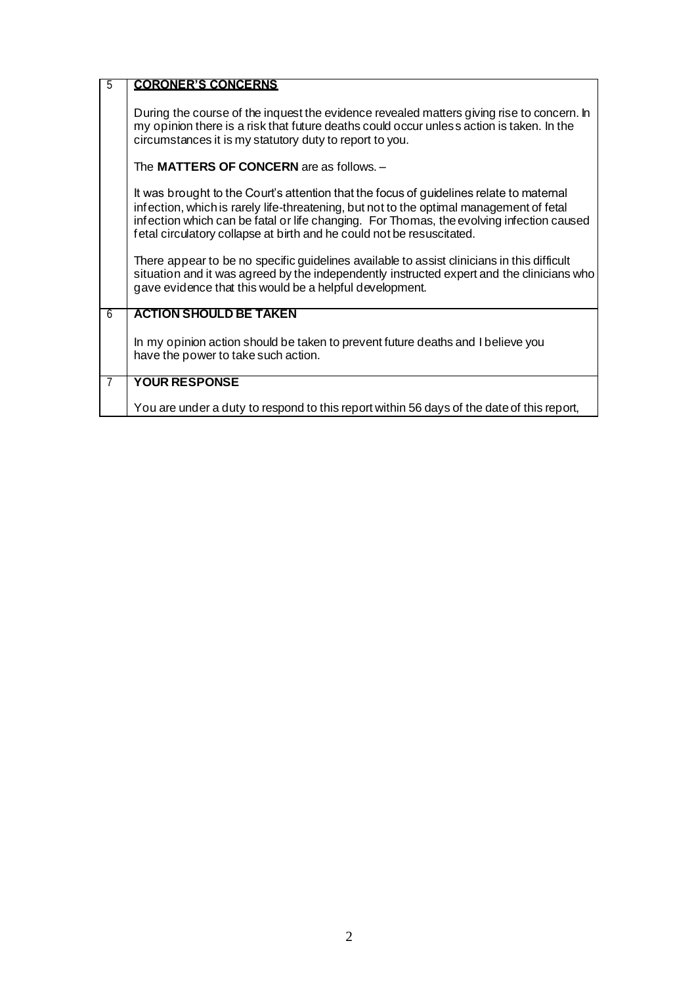| $\overline{5}$ | <b>CORONER'S CONCERNS</b>                                                                                                                                                                                                                                                                                                                               |
|----------------|---------------------------------------------------------------------------------------------------------------------------------------------------------------------------------------------------------------------------------------------------------------------------------------------------------------------------------------------------------|
|                | During the course of the inquest the evidence revealed matters giving rise to concern. In<br>my opinion there is a risk that future deaths could occur unless action is taken. In the<br>circumstances it is my statutory duty to report to you.                                                                                                        |
|                | The MATTERS OF CONCERN are as follows. -                                                                                                                                                                                                                                                                                                                |
|                | It was brought to the Court's attention that the focus of guidelines relate to maternal<br>infection, which is rarely life-threatening, but not to the optimal management of fetal<br>infection which can be fatal or life changing. For Thomas, the evolving infection caused<br>fetal circulatory collapse at birth and he could not be resuscitated. |
|                | There appear to be no specific guidelines available to assist clinicians in this difficult<br>situation and it was agreed by the independently instructed expert and the clinicians who<br>gave evidence that this would be a helpful development.                                                                                                      |
| 6              | <b>ACTION SHOULD BE TAKEN</b>                                                                                                                                                                                                                                                                                                                           |
|                | In my opinion action should be taken to prevent future deaths and I believe you<br>have the power to take such action.                                                                                                                                                                                                                                  |
| 7              | <b>YOUR RESPONSE</b>                                                                                                                                                                                                                                                                                                                                    |
|                | You are under a duty to respond to this report within 56 days of the date of this report,                                                                                                                                                                                                                                                               |